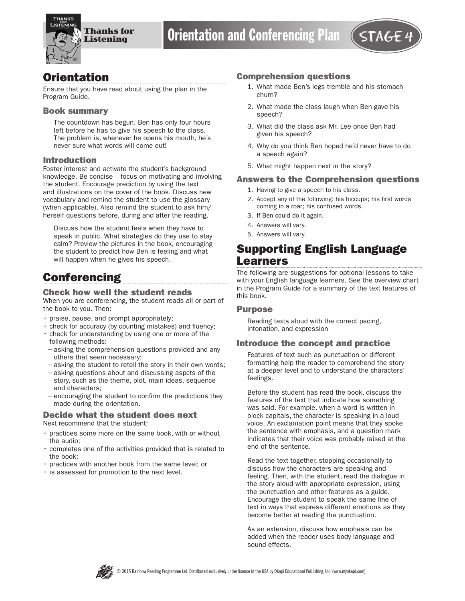

# **Orientation**

Ensure that you have read about using the plan in the Program Guide.

#### Book summary

The countdown has begun. Ben has only four hours left before he has to give his speech to the class. The problem is, whenever he opens his mouth, he's never sure what words will come out!

#### Introduction

Foster interest and activate the student's background knowledge. Be concise – focus on motivating and involving the student. Encourage prediction by using the text and illustrations on the cover of the book. Discuss new vocabulary and remind the student to use the glossary (when applicable). Also remind the student to ask him/ herself questions before, during and after the reading.

Discuss how the student feels when they have to speak in public. What strategies do they use to stay calm? Preview the pictures in the book, encouraging the student to predict how Ben is feeling and what will happen when he gives his speech.

# **Conferencing**

### Check how well the student reads

When you are conferencing, the student reads all or part of the book to you. Then:

- praise, pause, and prompt appropriately;
- check for accuracy (by counting mistakes) and fluency;
- check for understanding by using one or more of the following methods:
- −asking the comprehension questions provided and any others that seem necessary;
- −asking the student to retell the story in their own words;
- −asking questions about and discussing aspcts of the story, such as the theme, plot, main ideas, sequence and characters;
- −encouraging the student to confirm the predictions they made during the orientation.

#### Decide what the student does next Next recommend that the student:

- practices some more on the same book, with or without the audio;
- completes one of the activities provided that is related to the book;
- practices with another book from the same level; or
- is assessed for promotion to the next level.

#### Comprehension questions

- 1. What made Ben's legs tremble and his stomach churn?
- 2. What made the class laugh when Ben gave his speech?
- 3. What did the class ask Mr. Lee once Ben had given his speech?
- 4. Why do you think Ben hoped he'd never have to do a speech again?
- 5. What might happen next in the story?

#### Answers to the Comprehension questions

- 1. Having to give a speech to his class.
- 2. Accept any of the following: his hiccups; his first words coming in a roar; his confused words.
- 3. If Ben could do it again.
- 4. Answers will vary.
- 5. Answers will vary.

# Supporting English Language Learners

The following are suggestions for optional lessons to take with your English language learners. See the overview chart in the Program Guide for a summary of the text features of this book.

### Purpose

Reading texts aloud with the correct pacing, intonation, and expression

### Introduce the concept and practice

Features of text such as punctuation or different formatting help the reader to comprehend the story at a deeper level and to understand the characters' feelings.

Before the student has read the book, discuss the features of the text that indicate how something was said. For example, when a word is written in block capitals, the character is speaking in a loud voice. An exclamation point means that they spoke the sentence with emphasis, and a question mark indicates that their voice was probably raised at the end of the sentence.

Read the text together, stopping occasionally to discuss how the characters are speaking and feeling. Then, with the student, read the dialogue in the story aloud with appropriate expression, using the punctuation and other features as a guide. Encourage the student to speak the same line of text in ways that express different emotions as they become better at reading the punctuation.

As an extension, discuss how emphasis can be added when the reader uses body language and sound effects.

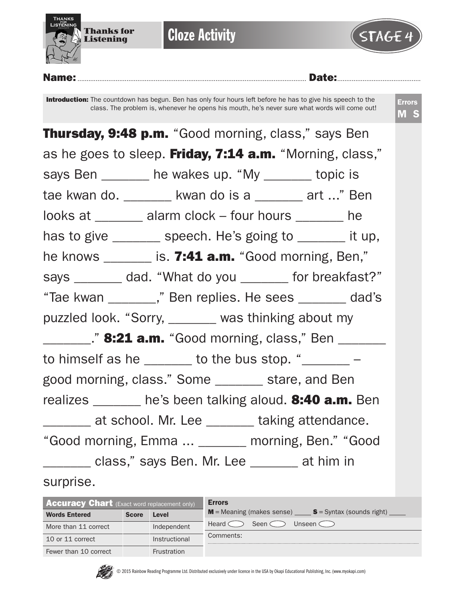

**Cloze Activity** 



## Name:.............................................................................................................................. Date:..............................................

Introduction: The countdown has begun. Ben has only four hours left before he has to give his speech to the class. The problem is, whenever he opens his mouth, he's never sure what words will come out!

| <b>Thursday, 9:48 p.m.</b> "Good morning, class," says Ben    |
|---------------------------------------------------------------|
| as he goes to sleep. Friday, 7:14 a.m. "Morning, class,"      |
| says Ben _______ he wakes up. "My ______ topic is             |
| tae kwan do. _______ kwan do is a ______ art " Ben            |
| looks at _______ alarm clock - four hours ______ he           |
| has to give _______ speech. He's going to ______ it up,       |
| he knows _______ is. 7:41 a.m. "Good morning, Ben,"           |
| says ________ dad. "What do you ________ for breakfast?"      |
| "Tae kwan _______," Ben replies. He sees ______ dad's         |
| puzzled look. "Sorry, _______ was thinking about my           |
| <b>221 a.m.</b> "Good morning, class," Ben _______            |
| to himself as he $\_\_\_\_$ to the bus stop. " $\_\_\_\_\_$ - |
| good morning, class." Some _______ stare, and Ben             |
| realizes ______ he's been talking aloud. 8:40 a.m. Ben        |
| _______ at school. Mr. Lee _______ taking attendance.         |
| "Good morning, Emma  _______ morning, Ben." "Good             |
| ________ class," says Ben. Mr. Lee _______ at him in          |
| surprise.                                                     |

| <b>Accuracy Chart</b> (Exact word replacement only) |              |               | <b>Errors</b>                                                   |
|-----------------------------------------------------|--------------|---------------|-----------------------------------------------------------------|
| <b>Words Entered</b>                                | <b>Score</b> | Level         | $M$ = Meaning (makes sense) $S$ = Syntax (sounds right)         |
| More than 11 correct                                |              | Independent   | Seen $\subset$<br>Unseen $\subset$ $\supset$<br>Heard $\subset$ |
| 10 or 11 correct                                    |              | Instructional | Comments:                                                       |
| Fewer than 10 correct                               |              | Frustration   |                                                                 |

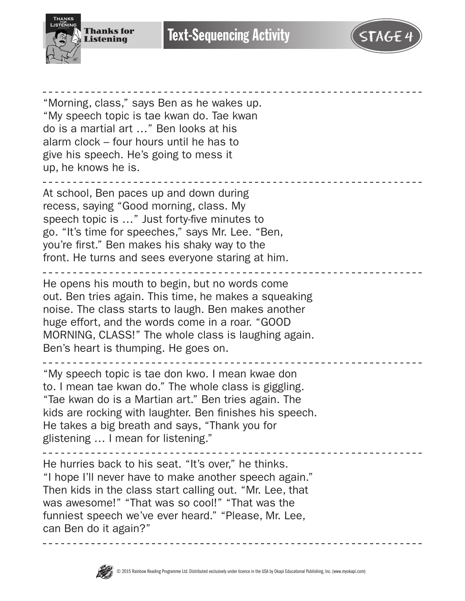

"Morning, class," says Ben as he wakes up. "My speech topic is tae kwan do. Tae kwan

**Text-Sequencing Activity** 

do is a martial art …" Ben looks at his alarm clock – four hours until he has to give his speech. He's going to mess it up, he knows he is. At school, Ben paces up and down during recess, saying "Good morning, class. My speech topic is …" Just forty-five minutes to go. "It's time for speeches," says Mr. Lee. "Ben, you're first." Ben makes his shaky way to the front. He turns and sees everyone staring at him. He opens his mouth to begin, but no words come out. Ben tries again. This time, he makes a squeaking noise. The class starts to laugh. Ben makes another huge effort, and the words come in a roar. "GOOD MORNING, CLASS!" The whole class is laughing again. Ben's heart is thumping. He goes on. "My speech topic is tae don kwo. I mean kwae don to. I mean tae kwan do." The whole class is giggling. "Tae kwan do is a Martian art." Ben tries again. The kids are rocking with laughter. Ben finishes his speech. He takes a big breath and says, "Thank you for glistening … I mean for listening." He hurries back to his seat. "It's over," he thinks. "I hope I'll never have to make another speech again." Then kids in the class start calling out. "Mr. Lee, that was awesome!" "That was so cool!" "That was the funniest speech we've ever heard." "Please, Mr. Lee, can Ben do it again?"

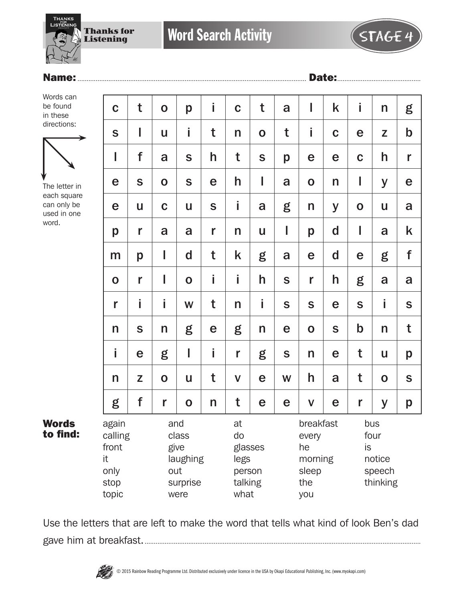

# Name:.............................................................................................................................. Date:..............................................

Words can be found in these directions:



The letter in each square can only be used in one word.

| t           | $\mathbf O$ | p           | i                    | $\mathbf C$      | t           | a           | I                      | k           | i           | n           | g                 |
|-------------|-------------|-------------|----------------------|------------------|-------------|-------------|------------------------|-------------|-------------|-------------|-------------------|
| I           | U           | İ.          | t                    | $\mathsf{n}$     | $\mathbf 0$ | t           | İ                      | $\mathbf C$ | e           | Z           | $\mathbf b$       |
| f           | a           | S           | h                    | t                | $\mathbf S$ | p           | e                      | e           | $\mathbf C$ | h           | r                 |
| S           | $\mathbf O$ | S           | e                    | h                | I           | a           | $\mathbf O$            | n           | I           | y           | e                 |
| U           | $\mathbf C$ | U           | $\mathsf S$          | İ                | a           | g           | n                      | y           | $\mathbf 0$ | U           | a                 |
| r           | a           | a           | r                    | $\mathsf{n}$     | U           | I           | p                      | $\mathbf d$ | I           | a           | k                 |
| p           | I           | d           | t                    | k                | g           | a           | $\mathbf e$            | d           | e           | g           | f                 |
| r           | I           | $\mathbf 0$ | i                    | İ                | h           | $\mathbf S$ | r                      | h           | g           | a           | a                 |
| İ           | İ           | W           | t                    | $\mathsf{n}$     | İ           | S           | ${\mathsf S}$          | e           | $\mathbf S$ | İ           | $\mathbf S$       |
| $\mathbf S$ | n           | g           | e                    | g                | n           | e           | $\mathbf 0$            | $\mathbf S$ | $\mathbf b$ | n           | t                 |
| e           | g           | I           | İ                    | r                | g           | $\mathsf S$ | n                      | e           | t           | U           | p                 |
| Z           | $\mathbf 0$ | U           | t                    | $\mathsf{V}$     | e           | W           | h                      | a           | t           | $\mathbf O$ | $\mathbf S$       |
| f           | r           | $\mathbf 0$ | n                    | t                | e           | e           | $\mathbf V$            | e           | r           | y           | p                 |
|             |             | laughing    |                      | at<br>do<br>legs |             |             | every<br>he<br>morning |             |             | notice      |                   |
|             | calling     |             | and<br>class<br>give |                  |             | glasses     |                        |             | breakfast   |             | bus<br>four<br>is |

Words to find:

Use the letters that are left to make the word that tells what kind of look Ben's dad gave him at breakfast.........................................................................................................................................................

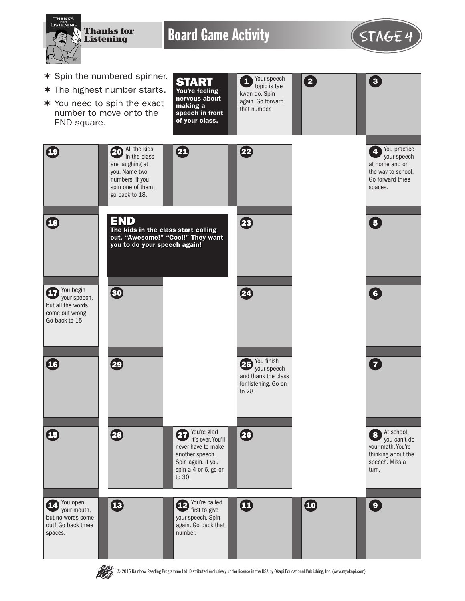

**ARAN** 

© 2015 Rainbow Reading Programme Ltd. Distributed exclusively under licence in the USA by Okapi Educational Publishing, Inc. (www.myokapi.com)